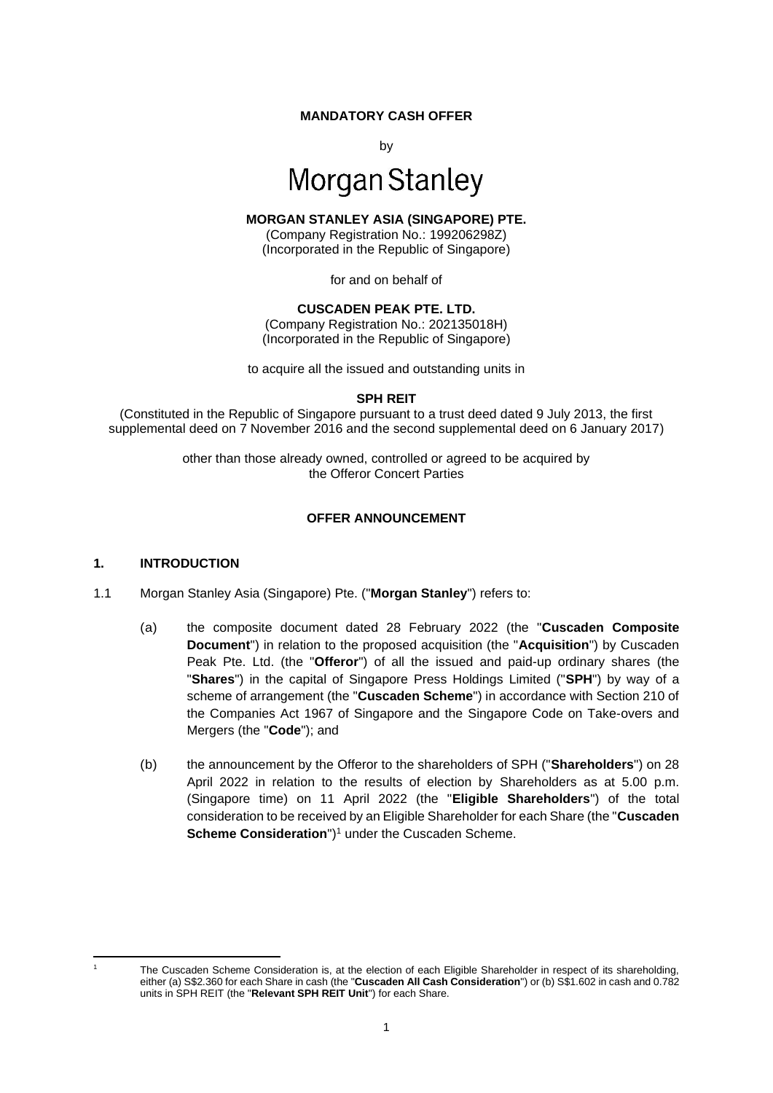#### **MANDATORY CASH OFFER**

by

# **Morgan Stanley**

#### **MORGAN STANLEY ASIA (SINGAPORE) PTE.**

(Company Registration No.: 199206298Z) (Incorporated in the Republic of Singapore)

for and on behalf of

#### **CUSCADEN PEAK PTE. LTD.**

(Company Registration No.: 202135018H) (Incorporated in the Republic of Singapore)

to acquire all the issued and outstanding units in

**SPH REIT**

(Constituted in the Republic of Singapore pursuant to a trust deed dated 9 July 2013, the first supplemental deed on 7 November 2016 and the second supplemental deed on 6 January 2017)

> other than those already owned, controlled or agreed to be acquired by the Offeror Concert Parties

#### **OFFER ANNOUNCEMENT**

#### **1. INTRODUCTION**

- 1.1 Morgan Stanley Asia (Singapore) Pte. ("**Morgan Stanley**") refers to:
	- (a) the composite document dated 28 February 2022 (the "**Cuscaden Composite Document**") in relation to the proposed acquisition (the "**Acquisition**") by Cuscaden Peak Pte. Ltd. (the "**Offeror**") of all the issued and paid-up ordinary shares (the "**Shares**") in the capital of Singapore Press Holdings Limited ("**SPH**") by way of a scheme of arrangement (the "**Cuscaden Scheme**") in accordance with Section 210 of the Companies Act 1967 of Singapore and the Singapore Code on Take-overs and Mergers (the "**Code**"); and
	- (b) the announcement by the Offeror to the shareholders of SPH ("**Shareholders**") on 28 April 2022 in relation to the results of election by Shareholders as at 5.00 p.m. (Singapore time) on 11 April 2022 (the "**Eligible Shareholders**") of the total consideration to be received by an Eligible Shareholder for each Share (the "**Cuscaden Scheme Consideration**")<sup>1</sup> under the Cuscaden Scheme.

<sup>1</sup> The Cuscaden Scheme Consideration is, at the election of each Eligible Shareholder in respect of its shareholding, either (a) S\$2.360 for each Share in cash (the "**Cuscaden All Cash Consideration**") or (b) S\$1.602 in cash and 0.782 units in SPH REIT (the "**Relevant SPH REIT Unit**") for each Share.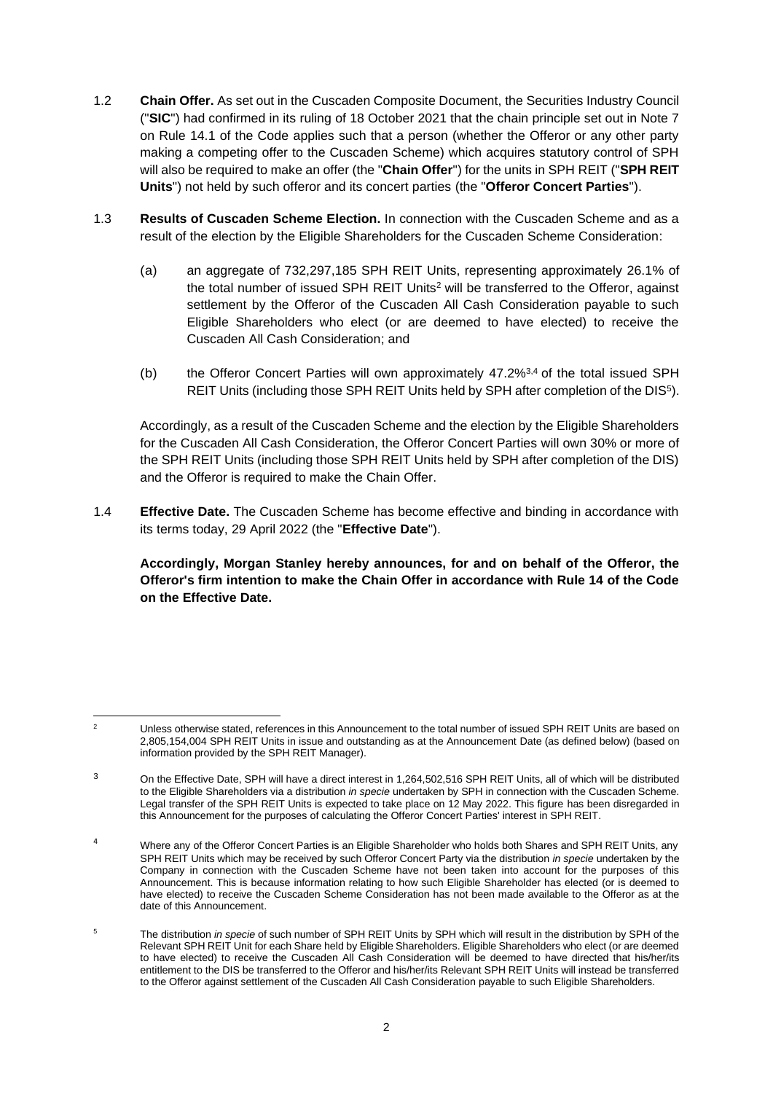- 1.2 **Chain Offer.** As set out in the Cuscaden Composite Document, the Securities Industry Council ("**SIC**") had confirmed in its ruling of 18 October 2021 that the chain principle set out in Note 7 on Rule 14.1 of the Code applies such that a person (whether the Offeror or any other party making a competing offer to the Cuscaden Scheme) which acquires statutory control of SPH will also be required to make an offer (the "**Chain Offer**") for the units in SPH REIT ("**SPH REIT Units**") not held by such offeror and its concert parties (the "**Offeror Concert Parties**").
- 1.3 **Results of Cuscaden Scheme Election.** In connection with the Cuscaden Scheme and as a result of the election by the Eligible Shareholders for the Cuscaden Scheme Consideration:
	- (a) an aggregate of 732,297,185 SPH REIT Units, representing approximately 26.1% of the total number of issued SPH REIT Units<sup>2</sup> will be transferred to the Offeror, against settlement by the Offeror of the Cuscaden All Cash Consideration payable to such Eligible Shareholders who elect (or are deemed to have elected) to receive the Cuscaden All Cash Consideration; and
	- (b) the Offeror Concert Parties will own approximately  $47.2\%^{3,4}$  of the total issued SPH REIT Units (including those SPH REIT Units held by SPH after completion of the DIS<sup>5</sup> ).

Accordingly, as a result of the Cuscaden Scheme and the election by the Eligible Shareholders for the Cuscaden All Cash Consideration, the Offeror Concert Parties will own 30% or more of the SPH REIT Units (including those SPH REIT Units held by SPH after completion of the DIS) and the Offeror is required to make the Chain Offer.

1.4 **Effective Date.** The Cuscaden Scheme has become effective and binding in accordance with its terms today, 29 April 2022 (the "**Effective Date**").

**Accordingly, Morgan Stanley hereby announces, for and on behalf of the Offeror, the Offeror's firm intention to make the Chain Offer in accordance with Rule 14 of the Code on the Effective Date.** 

<sup>&</sup>lt;sup>2</sup> Unless otherwise stated, references in this Announcement to the total number of issued SPH REIT Units are based on 2,805,154,004 SPH REIT Units in issue and outstanding as at the Announcement Date (as defined below) (based on information provided by the SPH REIT Manager).

<sup>&</sup>lt;sup>3</sup> On the Effective Date, SPH will have a direct interest in 1,264,502,516 SPH REIT Units, all of which will be distributed to the Eligible Shareholders via a distribution *in specie* undertaken by SPH in connection with the Cuscaden Scheme. Legal transfer of the SPH REIT Units is expected to take place on 12 May 2022. This figure has been disregarded in this Announcement for the purposes of calculating the Offeror Concert Parties' interest in SPH REIT.

<sup>&</sup>lt;sup>4</sup> Where any of the Offeror Concert Parties is an Eligible Shareholder who holds both Shares and SPH REIT Units, any SPH REIT Units which may be received by such Offeror Concert Party via the distribution *in specie* undertaken by the Company in connection with the Cuscaden Scheme have not been taken into account for the purposes of this Announcement. This is because information relating to how such Eligible Shareholder has elected (or is deemed to have elected) to receive the Cuscaden Scheme Consideration has not been made available to the Offeror as at the date of this Announcement.

<sup>5</sup> The distribution *in specie* of such number of SPH REIT Units by SPH which will result in the distribution by SPH of the Relevant SPH REIT Unit for each Share held by Eligible Shareholders. Eligible Shareholders who elect (or are deemed to have elected) to receive the Cuscaden All Cash Consideration will be deemed to have directed that his/her/its entitlement to the DIS be transferred to the Offeror and his/her/its Relevant SPH REIT Units will instead be transferred to the Offeror against settlement of the Cuscaden All Cash Consideration payable to such Eligible Shareholders.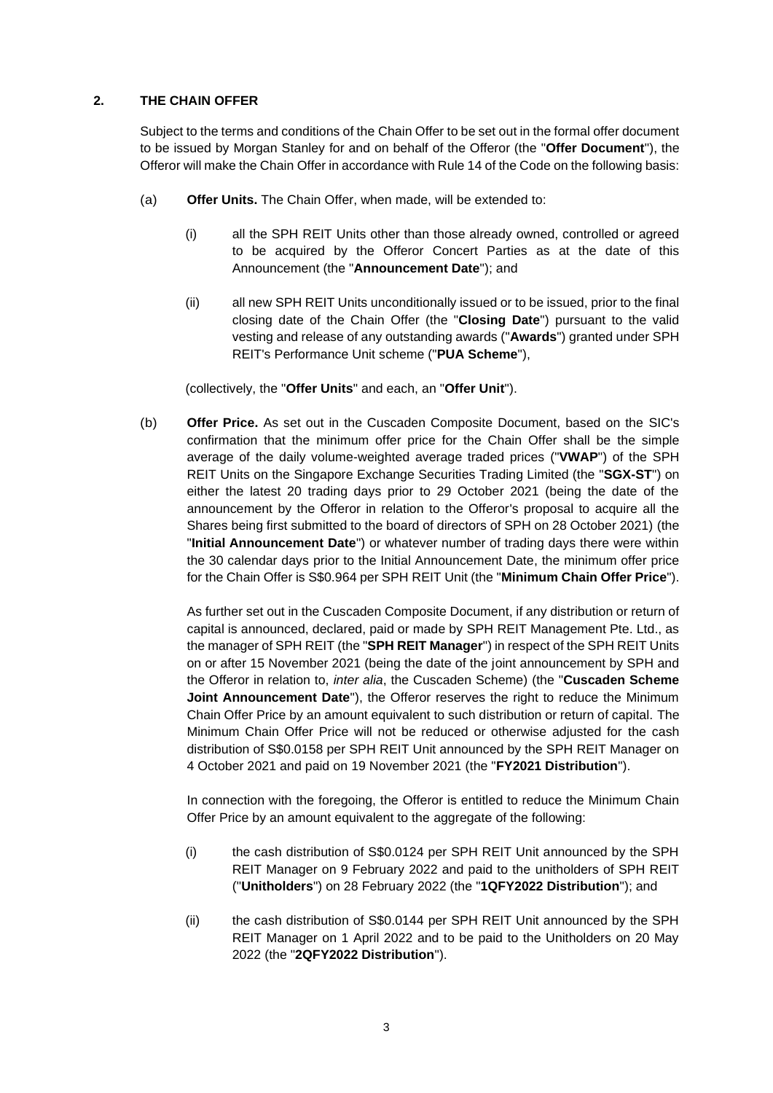### **2. THE CHAIN OFFER**

Subject to the terms and conditions of the Chain Offer to be set out in the formal offer document to be issued by Morgan Stanley for and on behalf of the Offeror (the "**Offer Document**"), the Offeror will make the Chain Offer in accordance with Rule 14 of the Code on the following basis:

- (a) **Offer Units.** The Chain Offer, when made, will be extended to:
	- (i) all the SPH REIT Units other than those already owned, controlled or agreed to be acquired by the Offeror Concert Parties as at the date of this Announcement (the "**Announcement Date**"); and
	- (ii) all new SPH REIT Units unconditionally issued or to be issued, prior to the final closing date of the Chain Offer (the "**Closing Date**") pursuant to the valid vesting and release of any outstanding awards ("**Awards**") granted under SPH REIT's Performance Unit scheme ("**PUA Scheme**"),

(collectively, the "**Offer Units**" and each, an "**Offer Unit**").

(b) **Offer Price.** As set out in the Cuscaden Composite Document, based on the SIC's confirmation that the minimum offer price for the Chain Offer shall be the simple average of the daily volume-weighted average traded prices ("**VWAP**") of the SPH REIT Units on the Singapore Exchange Securities Trading Limited (the "**SGX-ST**") on either the latest 20 trading days prior to 29 October 2021 (being the date of the announcement by the Offeror in relation to the Offeror's proposal to acquire all the Shares being first submitted to the board of directors of SPH on 28 October 2021) (the "**Initial Announcement Date**") or whatever number of trading days there were within the 30 calendar days prior to the Initial Announcement Date, the minimum offer price for the Chain Offer is S\$0.964 per SPH REIT Unit (the "**Minimum Chain Offer Price**").

As further set out in the Cuscaden Composite Document, if any distribution or return of capital is announced, declared, paid or made by SPH REIT Management Pte. Ltd., as the manager of SPH REIT (the "**SPH REIT Manager**") in respect of the SPH REIT Units on or after 15 November 2021 (being the date of the joint announcement by SPH and the Offeror in relation to, *inter alia*, the Cuscaden Scheme) (the "**Cuscaden Scheme Joint Announcement Date**"), the Offeror reserves the right to reduce the Minimum Chain Offer Price by an amount equivalent to such distribution or return of capital. The Minimum Chain Offer Price will not be reduced or otherwise adjusted for the cash distribution of S\$0.0158 per SPH REIT Unit announced by the SPH REIT Manager on 4 October 2021 and paid on 19 November 2021 (the "**FY2021 Distribution**").

In connection with the foregoing, the Offeror is entitled to reduce the Minimum Chain Offer Price by an amount equivalent to the aggregate of the following:

- (i) the cash distribution of S\$0.0124 per SPH REIT Unit announced by the SPH REIT Manager on 9 February 2022 and paid to the unitholders of SPH REIT ("**Unitholders**") on 28 February 2022 (the "**1QFY2022 Distribution**"); and
- (ii) the cash distribution of S\$0.0144 per SPH REIT Unit announced by the SPH REIT Manager on 1 April 2022 and to be paid to the Unitholders on 20 May 2022 (the "**2QFY2022 Distribution**").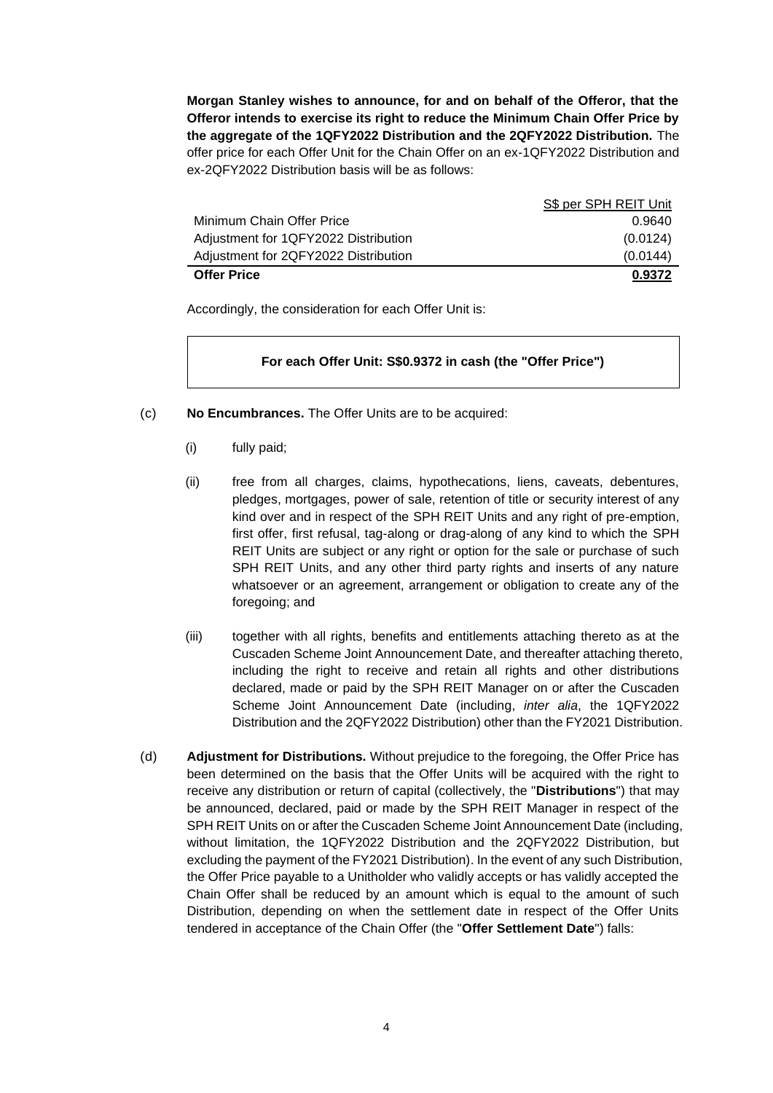**Morgan Stanley wishes to announce, for and on behalf of the Offeror, that the Offeror intends to exercise its right to reduce the Minimum Chain Offer Price by the aggregate of the 1QFY2022 Distribution and the 2QFY2022 Distribution.** The offer price for each Offer Unit for the Chain Offer on an ex-1QFY2022 Distribution and ex-2QFY2022 Distribution basis will be as follows:

|                                      | S\$ per SPH REIT Unit |
|--------------------------------------|-----------------------|
| Minimum Chain Offer Price            | 0.9640                |
| Adjustment for 1QFY2022 Distribution | (0.0124)              |
| Adjustment for 2QFY2022 Distribution | (0.0144)              |
| <b>Offer Price</b>                   | 0.9372                |

Accordingly, the consideration for each Offer Unit is:

#### **For each Offer Unit: S\$0.9372 in cash (the "Offer Price")**

- (c) **No Encumbrances.** The Offer Units are to be acquired:
	- (i) fully paid;
	- (ii) free from all charges, claims, hypothecations, liens, caveats, debentures, pledges, mortgages, power of sale, retention of title or security interest of any kind over and in respect of the SPH REIT Units and any right of pre-emption, first offer, first refusal, tag-along or drag-along of any kind to which the SPH REIT Units are subject or any right or option for the sale or purchase of such SPH REIT Units, and any other third party rights and inserts of any nature whatsoever or an agreement, arrangement or obligation to create any of the foregoing; and
	- (iii) together with all rights, benefits and entitlements attaching thereto as at the Cuscaden Scheme Joint Announcement Date, and thereafter attaching thereto, including the right to receive and retain all rights and other distributions declared, made or paid by the SPH REIT Manager on or after the Cuscaden Scheme Joint Announcement Date (including, *inter alia*, the 1QFY2022 Distribution and the 2QFY2022 Distribution) other than the FY2021 Distribution.
- (d) **Adjustment for Distributions.** Without prejudice to the foregoing, the Offer Price has been determined on the basis that the Offer Units will be acquired with the right to receive any distribution or return of capital (collectively, the "**Distributions**") that may be announced, declared, paid or made by the SPH REIT Manager in respect of the SPH REIT Units on or after the Cuscaden Scheme Joint Announcement Date (including, without limitation, the 1QFY2022 Distribution and the 2QFY2022 Distribution, but excluding the payment of the FY2021 Distribution). In the event of any such Distribution, the Offer Price payable to a Unitholder who validly accepts or has validly accepted the Chain Offer shall be reduced by an amount which is equal to the amount of such Distribution, depending on when the settlement date in respect of the Offer Units tendered in acceptance of the Chain Offer (the "**Offer Settlement Date**") falls: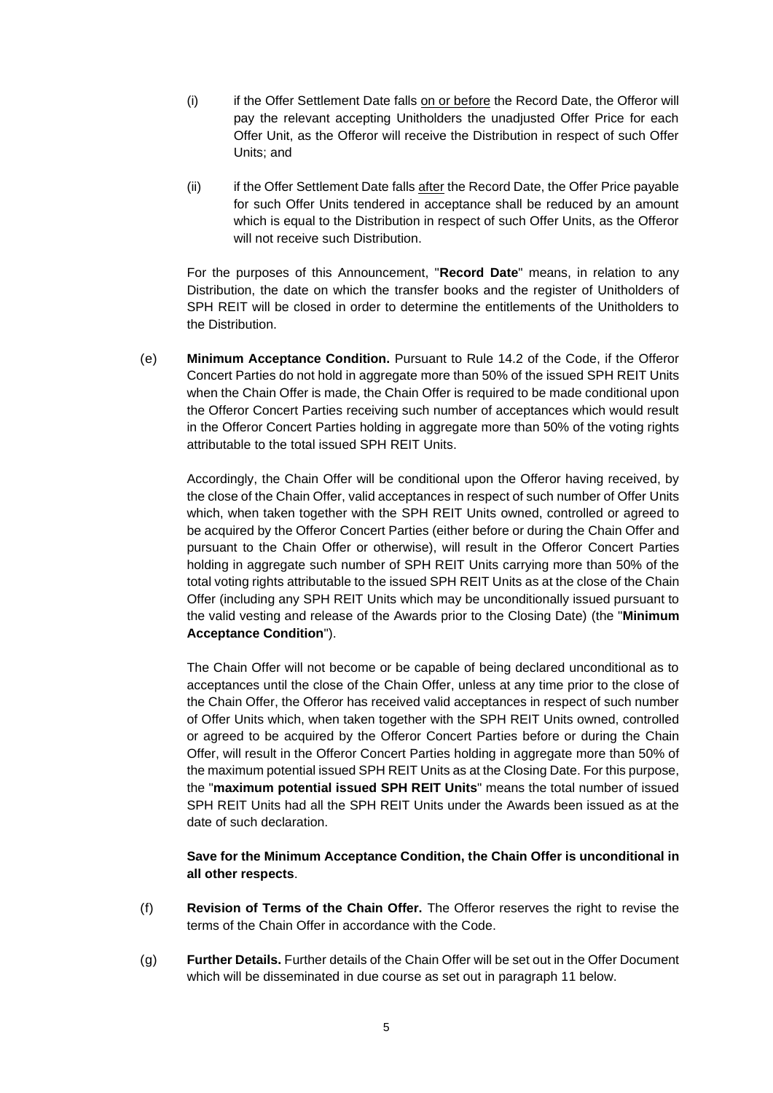- (i) if the Offer Settlement Date falls on or before the Record Date, the Offeror will pay the relevant accepting Unitholders the unadjusted Offer Price for each Offer Unit, as the Offeror will receive the Distribution in respect of such Offer Units; and
- (ii) if the Offer Settlement Date falls after the Record Date, the Offer Price payable for such Offer Units tendered in acceptance shall be reduced by an amount which is equal to the Distribution in respect of such Offer Units, as the Offeror will not receive such Distribution.

For the purposes of this Announcement, "**Record Date**" means, in relation to any Distribution, the date on which the transfer books and the register of Unitholders of SPH REIT will be closed in order to determine the entitlements of the Unitholders to the Distribution.

(e) **Minimum Acceptance Condition.** Pursuant to Rule 14.2 of the Code, if the Offeror Concert Parties do not hold in aggregate more than 50% of the issued SPH REIT Units when the Chain Offer is made, the Chain Offer is required to be made conditional upon the Offeror Concert Parties receiving such number of acceptances which would result in the Offeror Concert Parties holding in aggregate more than 50% of the voting rights attributable to the total issued SPH REIT Units.

Accordingly, the Chain Offer will be conditional upon the Offeror having received, by the close of the Chain Offer, valid acceptances in respect of such number of Offer Units which, when taken together with the SPH REIT Units owned, controlled or agreed to be acquired by the Offeror Concert Parties (either before or during the Chain Offer and pursuant to the Chain Offer or otherwise), will result in the Offeror Concert Parties holding in aggregate such number of SPH REIT Units carrying more than 50% of the total voting rights attributable to the issued SPH REIT Units as at the close of the Chain Offer (including any SPH REIT Units which may be unconditionally issued pursuant to the valid vesting and release of the Awards prior to the Closing Date) (the "**Minimum Acceptance Condition**").

The Chain Offer will not become or be capable of being declared unconditional as to acceptances until the close of the Chain Offer, unless at any time prior to the close of the Chain Offer, the Offeror has received valid acceptances in respect of such number of Offer Units which, when taken together with the SPH REIT Units owned, controlled or agreed to be acquired by the Offeror Concert Parties before or during the Chain Offer, will result in the Offeror Concert Parties holding in aggregate more than 50% of the maximum potential issued SPH REIT Units as at the Closing Date. For this purpose, the "**maximum potential issued SPH REIT Units**" means the total number of issued SPH REIT Units had all the SPH REIT Units under the Awards been issued as at the date of such declaration.

#### **Save for the Minimum Acceptance Condition, the Chain Offer is unconditional in all other respects**.

- (f) **Revision of Terms of the Chain Offer.** The Offeror reserves the right to revise the terms of the Chain Offer in accordance with the Code.
- (g) **Further Details.** Further details of the Chain Offer will be set out in the Offer Document which will be disseminated in due course as set out in paragraph 11 below.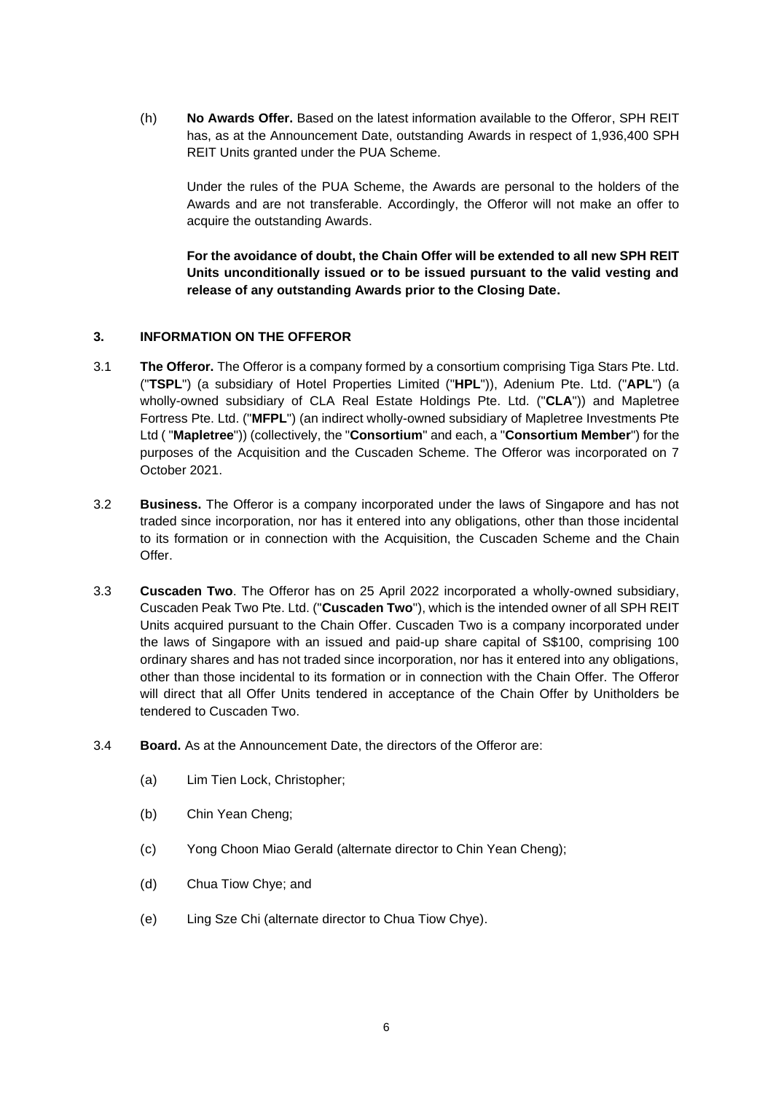(h) **No Awards Offer.** Based on the latest information available to the Offeror, SPH REIT has, as at the Announcement Date, outstanding Awards in respect of 1,936,400 SPH REIT Units granted under the PUA Scheme.

Under the rules of the PUA Scheme, the Awards are personal to the holders of the Awards and are not transferable. Accordingly, the Offeror will not make an offer to acquire the outstanding Awards.

**For the avoidance of doubt, the Chain Offer will be extended to all new SPH REIT Units unconditionally issued or to be issued pursuant to the valid vesting and release of any outstanding Awards prior to the Closing Date.**

## **3. INFORMATION ON THE OFFEROR**

- 3.1 **The Offeror.** The Offeror is a company formed by a consortium comprising Tiga Stars Pte. Ltd. ("**TSPL**") (a subsidiary of Hotel Properties Limited ("**HPL**")), Adenium Pte. Ltd. ("**APL**") (a wholly-owned subsidiary of CLA Real Estate Holdings Pte. Ltd. ("**CLA**")) and Mapletree Fortress Pte. Ltd. ("**MFPL**") (an indirect wholly-owned subsidiary of Mapletree Investments Pte Ltd ( "**Mapletree**")) (collectively, the "**Consortium**" and each, a "**Consortium Member**") for the purposes of the Acquisition and the Cuscaden Scheme. The Offeror was incorporated on 7 October 2021.
- 3.2 **Business.** The Offeror is a company incorporated under the laws of Singapore and has not traded since incorporation, nor has it entered into any obligations, other than those incidental to its formation or in connection with the Acquisition, the Cuscaden Scheme and the Chain Offer.
- 3.3 **Cuscaden Two**. The Offeror has on 25 April 2022 incorporated a wholly-owned subsidiary, Cuscaden Peak Two Pte. Ltd. ("**Cuscaden Two**"), which is the intended owner of all SPH REIT Units acquired pursuant to the Chain Offer. Cuscaden Two is a company incorporated under the laws of Singapore with an issued and paid-up share capital of S\$100, comprising 100 ordinary shares and has not traded since incorporation, nor has it entered into any obligations, other than those incidental to its formation or in connection with the Chain Offer. The Offeror will direct that all Offer Units tendered in acceptance of the Chain Offer by Unitholders be tendered to Cuscaden Two.
- 3.4 **Board.** As at the Announcement Date, the directors of the Offeror are:
	- (a) Lim Tien Lock, Christopher;
	- (b) Chin Yean Cheng;
	- (c) Yong Choon Miao Gerald (alternate director to Chin Yean Cheng);
	- (d) Chua Tiow Chye; and
	- (e) Ling Sze Chi (alternate director to Chua Tiow Chye).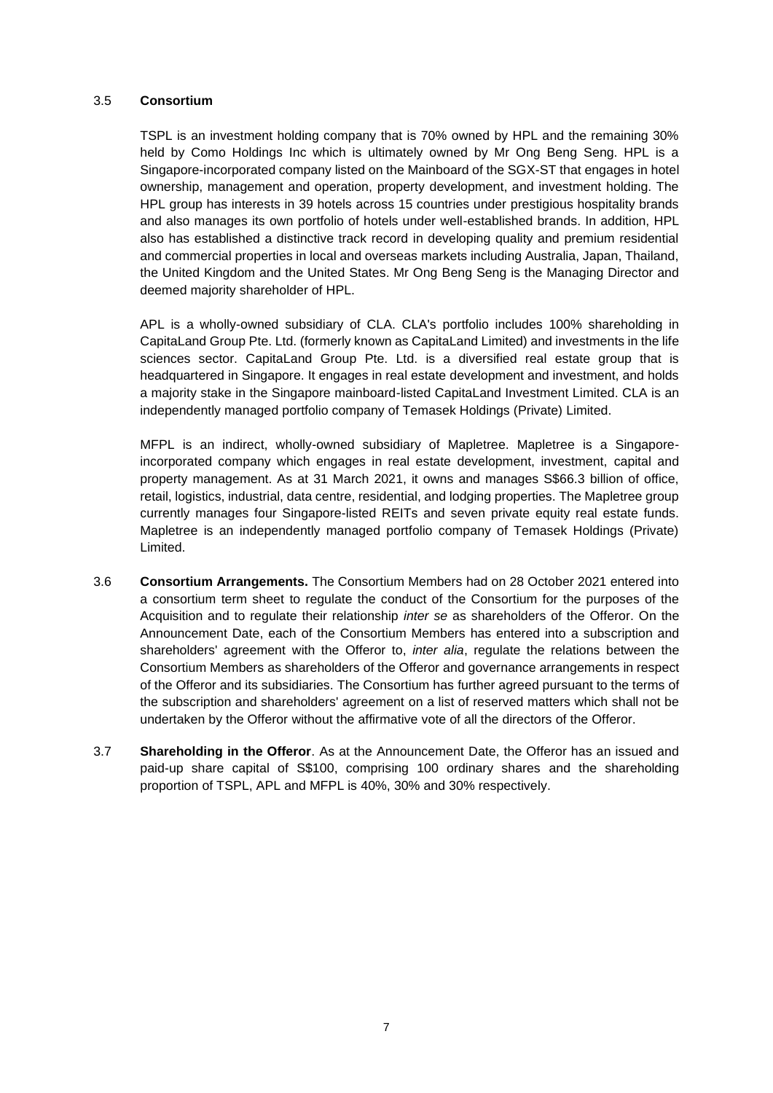#### 3.5 **Consortium**

TSPL is an investment holding company that is 70% owned by HPL and the remaining 30% held by Como Holdings Inc which is ultimately owned by Mr Ong Beng Seng. HPL is a Singapore-incorporated company listed on the Mainboard of the SGX-ST that engages in hotel ownership, management and operation, property development, and investment holding. The HPL group has interests in 39 hotels across 15 countries under prestigious hospitality brands and also manages its own portfolio of hotels under well-established brands. In addition, HPL also has established a distinctive track record in developing quality and premium residential and commercial properties in local and overseas markets including Australia, Japan, Thailand, the United Kingdom and the United States. Mr Ong Beng Seng is the Managing Director and deemed majority shareholder of HPL.

APL is a wholly-owned subsidiary of CLA. CLA's portfolio includes 100% shareholding in CapitaLand Group Pte. Ltd. (formerly known as CapitaLand Limited) and investments in the life sciences sector. CapitaLand Group Pte. Ltd. is a diversified real estate group that is headquartered in Singapore. It engages in real estate development and investment, and holds a majority stake in the Singapore mainboard-listed CapitaLand Investment Limited. CLA is an independently managed portfolio company of Temasek Holdings (Private) Limited.

MFPL is an indirect, wholly-owned subsidiary of Mapletree. Mapletree is a Singaporeincorporated company which engages in real estate development, investment, capital and property management. As at 31 March 2021, it owns and manages S\$66.3 billion of office, retail, logistics, industrial, data centre, residential, and lodging properties. The Mapletree group currently manages four Singapore-listed REITs and seven private equity real estate funds. Mapletree is an independently managed portfolio company of Temasek Holdings (Private) Limited.

- 3.6 **Consortium Arrangements.** The Consortium Members had on 28 October 2021 entered into a consortium term sheet to regulate the conduct of the Consortium for the purposes of the Acquisition and to regulate their relationship *inter se* as shareholders of the Offeror. On the Announcement Date, each of the Consortium Members has entered into a subscription and shareholders' agreement with the Offeror to, *inter alia*, regulate the relations between the Consortium Members as shareholders of the Offeror and governance arrangements in respect of the Offeror and its subsidiaries. The Consortium has further agreed pursuant to the terms of the subscription and shareholders' agreement on a list of reserved matters which shall not be undertaken by the Offeror without the affirmative vote of all the directors of the Offeror.
- 3.7 **Shareholding in the Offeror**. As at the Announcement Date, the Offeror has an issued and paid-up share capital of S\$100, comprising 100 ordinary shares and the shareholding proportion of TSPL, APL and MFPL is 40%, 30% and 30% respectively.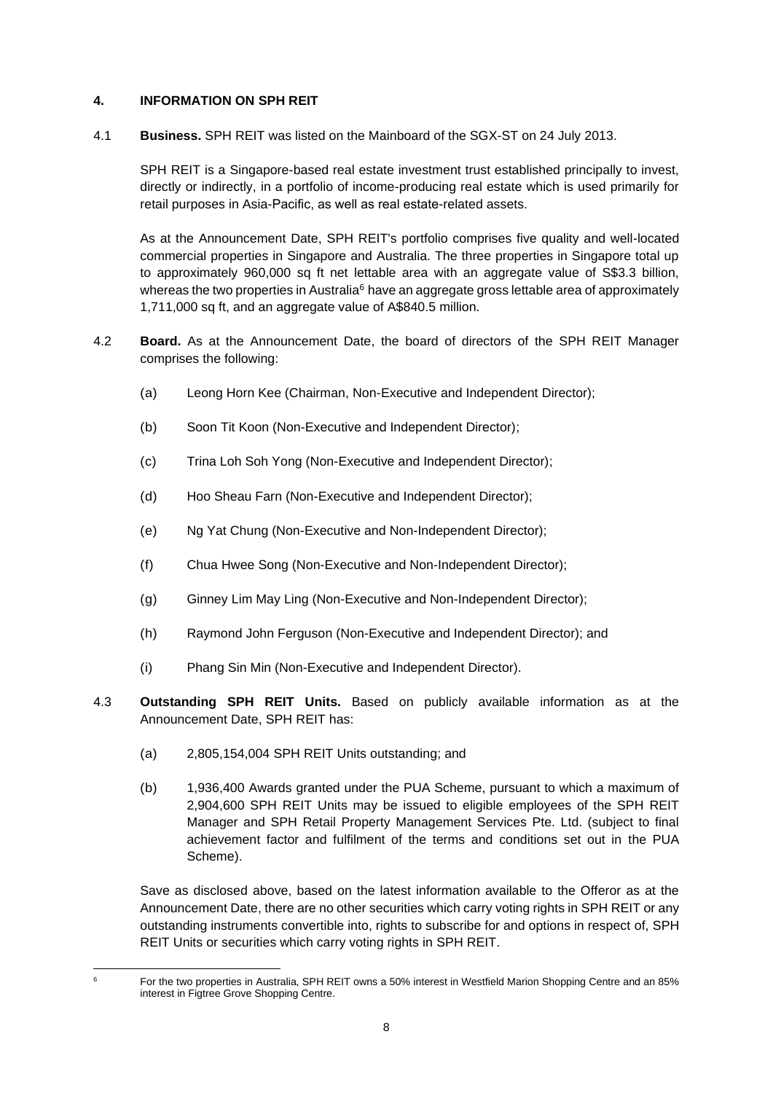## **4. INFORMATION ON SPH REIT**

4.1 **Business.** SPH REIT was listed on the Mainboard of the SGX-ST on 24 July 2013.

SPH REIT is a Singapore-based real estate investment trust established principally to invest, directly or indirectly, in a portfolio of income-producing real estate which is used primarily for retail purposes in Asia-Pacific, as well as real estate-related assets.

As at the Announcement Date, SPH REIT's portfolio comprises five quality and well-located commercial properties in Singapore and Australia. The three properties in Singapore total up to approximately 960,000 sq ft net lettable area with an aggregate value of S\$3.3 billion, whereas the two properties in Australia<sup>6</sup> have an aggregate gross lettable area of approximately 1,711,000 sq ft, and an aggregate value of A\$840.5 million.

- 4.2 **Board.** As at the Announcement Date, the board of directors of the SPH REIT Manager comprises the following:
	- (a) Leong Horn Kee (Chairman, Non-Executive and Independent Director);
	- (b) Soon Tit Koon (Non-Executive and Independent Director);
	- (c) Trina Loh Soh Yong (Non-Executive and Independent Director);
	- (d) Hoo Sheau Farn (Non-Executive and Independent Director);
	- (e) Ng Yat Chung (Non-Executive and Non-Independent Director);
	- (f) Chua Hwee Song (Non-Executive and Non-Independent Director);
	- (g) Ginney Lim May Ling (Non-Executive and Non-Independent Director);
	- (h) Raymond John Ferguson (Non-Executive and Independent Director); and
	- (i) Phang Sin Min (Non-Executive and Independent Director).
- 4.3 **Outstanding SPH REIT Units.** Based on publicly available information as at the Announcement Date, SPH REIT has:
	- (a) 2,805,154,004 SPH REIT Units outstanding; and
	- (b) 1,936,400 Awards granted under the PUA Scheme, pursuant to which a maximum of 2,904,600 SPH REIT Units may be issued to eligible employees of the SPH REIT Manager and SPH Retail Property Management Services Pte. Ltd. (subject to final achievement factor and fulfilment of the terms and conditions set out in the PUA Scheme).

Save as disclosed above, based on the latest information available to the Offeror as at the Announcement Date, there are no other securities which carry voting rights in SPH REIT or any outstanding instruments convertible into, rights to subscribe for and options in respect of, SPH REIT Units or securities which carry voting rights in SPH REIT.

<sup>6</sup> For the two properties in Australia, SPH REIT owns a 50% interest in Westfield Marion Shopping Centre and an 85% interest in Figtree Grove Shopping Centre.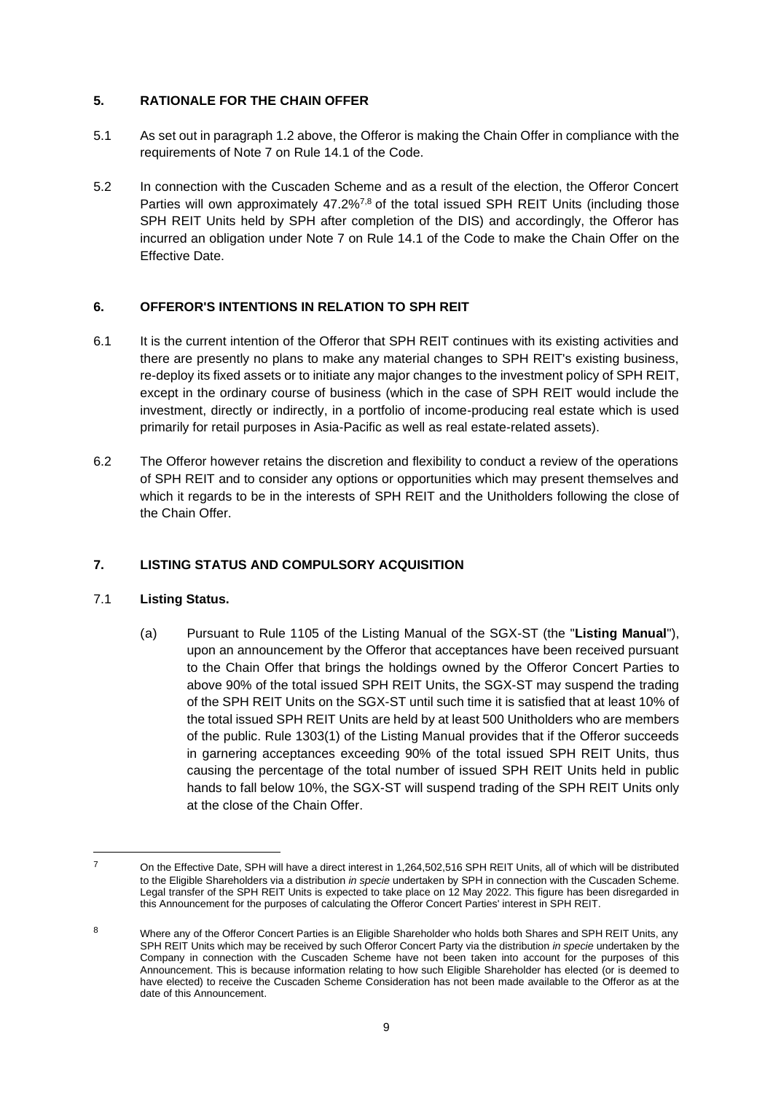## **5. RATIONALE FOR THE CHAIN OFFER**

- 5.1 As set out in paragraph 1.2 above, the Offeror is making the Chain Offer in compliance with the requirements of Note 7 on Rule 14.1 of the Code.
- 5.2 In connection with the Cuscaden Scheme and as a result of the election, the Offeror Concert Parties will own approximately 47.2%<sup>7,8</sup> of the total issued SPH REIT Units (including those SPH REIT Units held by SPH after completion of the DIS) and accordingly, the Offeror has incurred an obligation under Note 7 on Rule 14.1 of the Code to make the Chain Offer on the Effective Date.

## **6. OFFEROR'S INTENTIONS IN RELATION TO SPH REIT**

- 6.1 It is the current intention of the Offeror that SPH REIT continues with its existing activities and there are presently no plans to make any material changes to SPH REIT's existing business, re-deploy its fixed assets or to initiate any major changes to the investment policy of SPH REIT, except in the ordinary course of business (which in the case of SPH REIT would include the investment, directly or indirectly, in a portfolio of income-producing real estate which is used primarily for retail purposes in Asia-Pacific as well as real estate-related assets).
- 6.2 The Offeror however retains the discretion and flexibility to conduct a review of the operations of SPH REIT and to consider any options or opportunities which may present themselves and which it regards to be in the interests of SPH REIT and the Unitholders following the close of the Chain Offer.

## **7. LISTING STATUS AND COMPULSORY ACQUISITION**

## 7.1 **Listing Status.**

(a) Pursuant to Rule 1105 of the Listing Manual of the SGX-ST (the "**Listing Manual**"), upon an announcement by the Offeror that acceptances have been received pursuant to the Chain Offer that brings the holdings owned by the Offeror Concert Parties to above 90% of the total issued SPH REIT Units, the SGX-ST may suspend the trading of the SPH REIT Units on the SGX-ST until such time it is satisfied that at least 10% of the total issued SPH REIT Units are held by at least 500 Unitholders who are members of the public. Rule 1303(1) of the Listing Manual provides that if the Offeror succeeds in garnering acceptances exceeding 90% of the total issued SPH REIT Units, thus causing the percentage of the total number of issued SPH REIT Units held in public hands to fall below 10%, the SGX-ST will suspend trading of the SPH REIT Units only at the close of the Chain Offer.

<sup>&</sup>lt;sup>7</sup> On the Effective Date, SPH will have a direct interest in 1,264,502,516 SPH REIT Units, all of which will be distributed to the Eligible Shareholders via a distribution *in specie* undertaken by SPH in connection with the Cuscaden Scheme. Legal transfer of the SPH REIT Units is expected to take place on 12 May 2022. This figure has been disregarded in this Announcement for the purposes of calculating the Offeror Concert Parties' interest in SPH REIT.

<sup>8</sup> Where any of the Offeror Concert Parties is an Eligible Shareholder who holds both Shares and SPH REIT Units, any SPH REIT Units which may be received by such Offeror Concert Party via the distribution *in specie* undertaken by the Company in connection with the Cuscaden Scheme have not been taken into account for the purposes of this Announcement. This is because information relating to how such Eligible Shareholder has elected (or is deemed to have elected) to receive the Cuscaden Scheme Consideration has not been made available to the Offeror as at the date of this Announcement.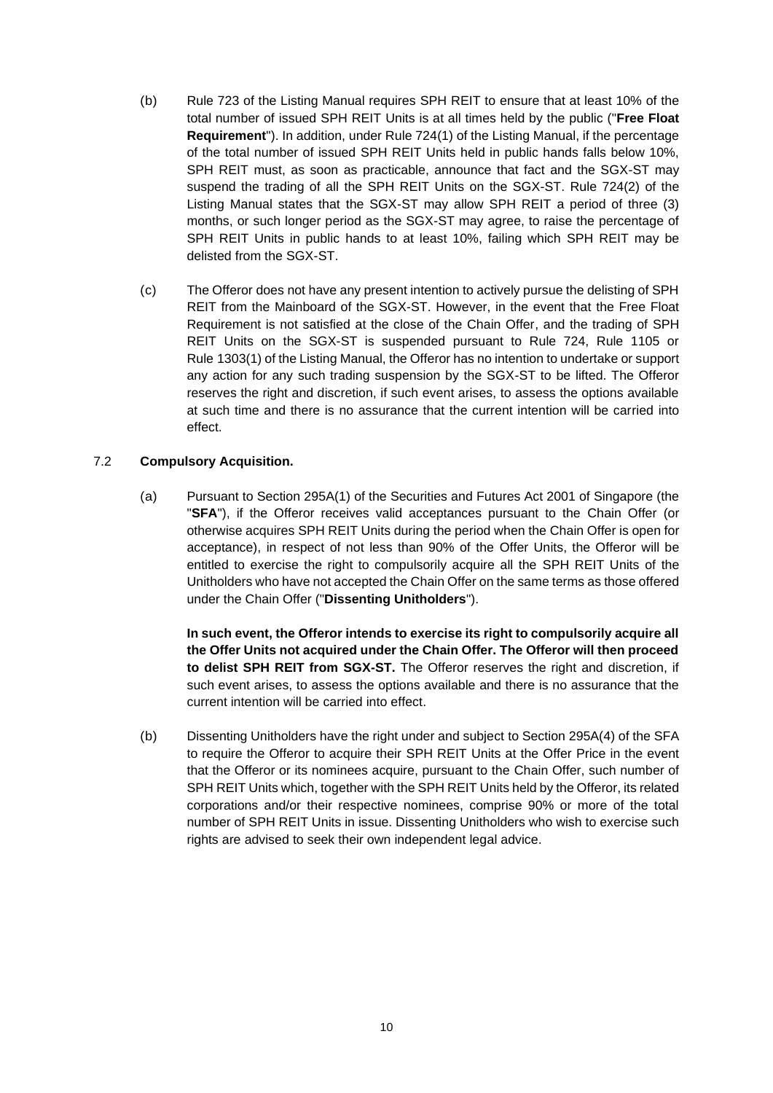- (b) Rule 723 of the Listing Manual requires SPH REIT to ensure that at least 10% of the total number of issued SPH REIT Units is at all times held by the public ("**Free Float Requirement**"). In addition, under Rule 724(1) of the Listing Manual, if the percentage of the total number of issued SPH REIT Units held in public hands falls below 10%, SPH REIT must, as soon as practicable, announce that fact and the SGX-ST may suspend the trading of all the SPH REIT Units on the SGX-ST. Rule 724(2) of the Listing Manual states that the SGX-ST may allow SPH REIT a period of three (3) months, or such longer period as the SGX-ST may agree, to raise the percentage of SPH REIT Units in public hands to at least 10%, failing which SPH REIT may be delisted from the SGX-ST.
- (c) The Offeror does not have any present intention to actively pursue the delisting of SPH REIT from the Mainboard of the SGX-ST. However, in the event that the Free Float Requirement is not satisfied at the close of the Chain Offer, and the trading of SPH REIT Units on the SGX-ST is suspended pursuant to Rule 724, Rule 1105 or Rule 1303(1) of the Listing Manual, the Offeror has no intention to undertake or support any action for any such trading suspension by the SGX-ST to be lifted. The Offeror reserves the right and discretion, if such event arises, to assess the options available at such time and there is no assurance that the current intention will be carried into effect.

#### 7.2 **Compulsory Acquisition.**

(a) Pursuant to Section 295A(1) of the Securities and Futures Act 2001 of Singapore (the "**SFA**"), if the Offeror receives valid acceptances pursuant to the Chain Offer (or otherwise acquires SPH REIT Units during the period when the Chain Offer is open for acceptance), in respect of not less than 90% of the Offer Units, the Offeror will be entitled to exercise the right to compulsorily acquire all the SPH REIT Units of the Unitholders who have not accepted the Chain Offer on the same terms as those offered under the Chain Offer ("**Dissenting Unitholders**").

**In such event, the Offeror intends to exercise its right to compulsorily acquire all the Offer Units not acquired under the Chain Offer. The Offeror will then proceed to delist SPH REIT from SGX-ST.** The Offeror reserves the right and discretion, if such event arises, to assess the options available and there is no assurance that the current intention will be carried into effect.

(b) Dissenting Unitholders have the right under and subject to Section 295A(4) of the SFA to require the Offeror to acquire their SPH REIT Units at the Offer Price in the event that the Offeror or its nominees acquire, pursuant to the Chain Offer, such number of SPH REIT Units which, together with the SPH REIT Units held by the Offeror, its related corporations and/or their respective nominees, comprise 90% or more of the total number of SPH REIT Units in issue. Dissenting Unitholders who wish to exercise such rights are advised to seek their own independent legal advice.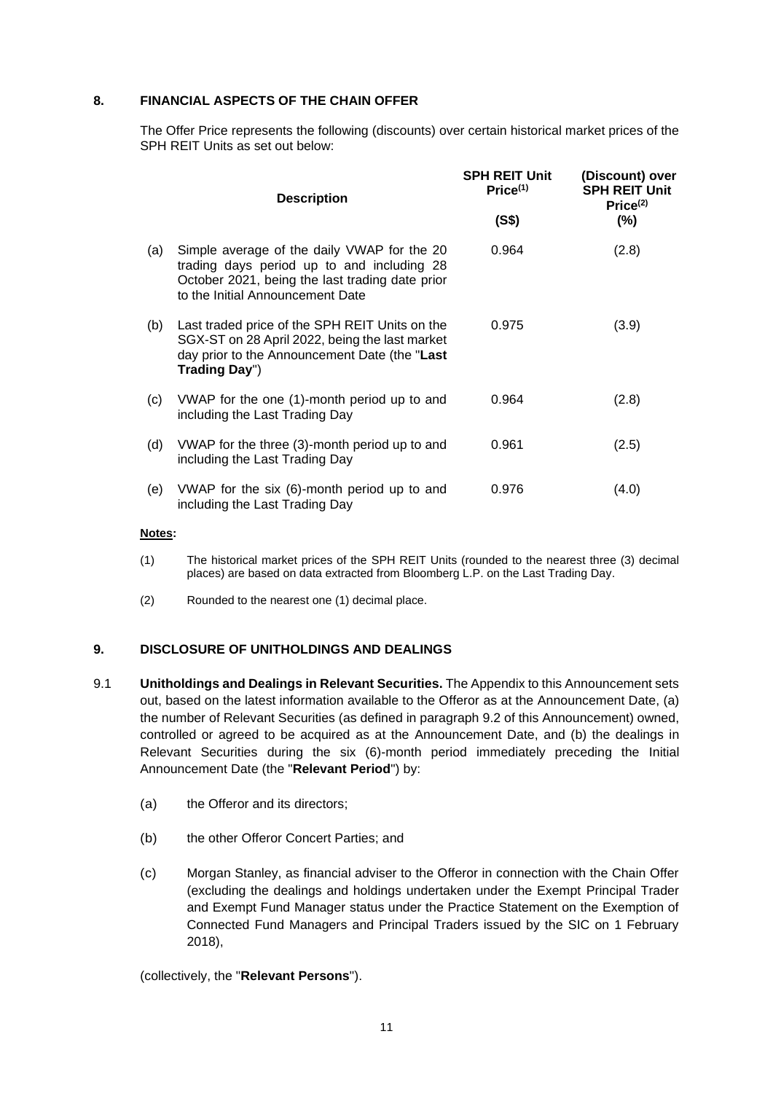#### **8. FINANCIAL ASPECTS OF THE CHAIN OFFER**

The Offer Price represents the following (discounts) over certain historical market prices of the SPH REIT Units as set out below:

|     | <b>Description</b>                                                                                                                                                               | <b>SPH REIT Unit</b><br>Price <sup>(1)</sup> | (Discount) over<br><b>SPH REIT Unit</b><br>Price <sup>(2)</sup> |  |
|-----|----------------------------------------------------------------------------------------------------------------------------------------------------------------------------------|----------------------------------------------|-----------------------------------------------------------------|--|
|     |                                                                                                                                                                                  | (S\$)                                        | $(\% )$                                                         |  |
| (a) | Simple average of the daily VWAP for the 20<br>trading days period up to and including 28<br>October 2021, being the last trading date prior<br>to the Initial Announcement Date | 0.964                                        | (2.8)                                                           |  |
| (b) | Last traded price of the SPH REIT Units on the<br>SGX-ST on 28 April 2022, being the last market<br>day prior to the Announcement Date (the "Last<br>Trading Day")               | 0.975                                        | (3.9)                                                           |  |
| (c) | VWAP for the one (1)-month period up to and<br>including the Last Trading Day                                                                                                    | 0.964                                        | (2.8)                                                           |  |
| (d) | VWAP for the three (3)-month period up to and<br>including the Last Trading Day                                                                                                  | 0.961                                        | (2.5)                                                           |  |
| (e) | VWAP for the six (6)-month period up to and<br>including the Last Trading Day                                                                                                    | 0.976                                        | (4.0)                                                           |  |

#### **Notes:**

- (1) The historical market prices of the SPH REIT Units (rounded to the nearest three (3) decimal places) are based on data extracted from Bloomberg L.P. on the Last Trading Day.
- (2) Rounded to the nearest one (1) decimal place.

#### **9. DISCLOSURE OF UNITHOLDINGS AND DEALINGS**

- 9.1 **Unitholdings and Dealings in Relevant Securities.** The Appendix to this Announcement sets out, based on the latest information available to the Offeror as at the Announcement Date, (a) the number of Relevant Securities (as defined in paragraph 9.2 of this Announcement) owned, controlled or agreed to be acquired as at the Announcement Date, and (b) the dealings in Relevant Securities during the six (6)-month period immediately preceding the Initial Announcement Date (the "**Relevant Period**") by:
	- (a) the Offeror and its directors;
	- (b) the other Offeror Concert Parties; and
	- (c) Morgan Stanley, as financial adviser to the Offeror in connection with the Chain Offer (excluding the dealings and holdings undertaken under the Exempt Principal Trader and Exempt Fund Manager status under the Practice Statement on the Exemption of Connected Fund Managers and Principal Traders issued by the SIC on 1 February 2018),

(collectively, the "**Relevant Persons**").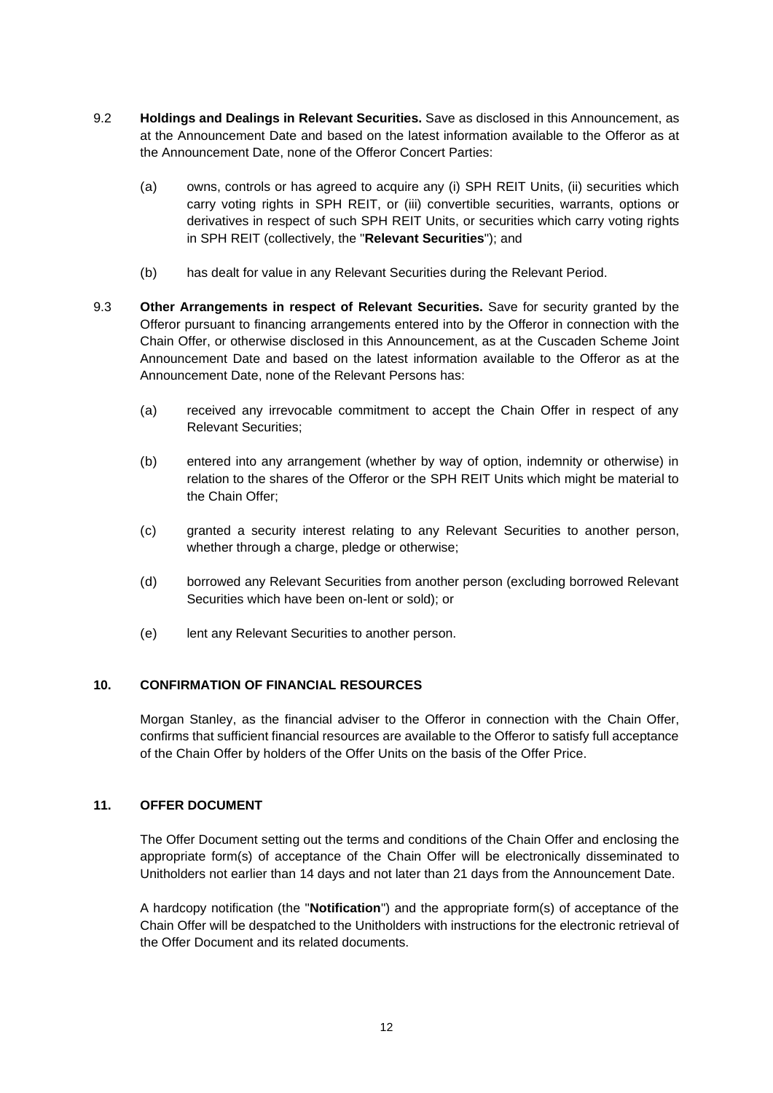- 9.2 **Holdings and Dealings in Relevant Securities.** Save as disclosed in this Announcement, as at the Announcement Date and based on the latest information available to the Offeror as at the Announcement Date, none of the Offeror Concert Parties:
	- (a) owns, controls or has agreed to acquire any (i) SPH REIT Units, (ii) securities which carry voting rights in SPH REIT, or (iii) convertible securities, warrants, options or derivatives in respect of such SPH REIT Units, or securities which carry voting rights in SPH REIT (collectively, the "**Relevant Securities**"); and
	- (b) has dealt for value in any Relevant Securities during the Relevant Period.
- 9.3 **Other Arrangements in respect of Relevant Securities.** Save for security granted by the Offeror pursuant to financing arrangements entered into by the Offeror in connection with the Chain Offer, or otherwise disclosed in this Announcement, as at the Cuscaden Scheme Joint Announcement Date and based on the latest information available to the Offeror as at the Announcement Date, none of the Relevant Persons has:
	- (a) received any irrevocable commitment to accept the Chain Offer in respect of any Relevant Securities;
	- (b) entered into any arrangement (whether by way of option, indemnity or otherwise) in relation to the shares of the Offeror or the SPH REIT Units which might be material to the Chain Offer;
	- (c) granted a security interest relating to any Relevant Securities to another person, whether through a charge, pledge or otherwise;
	- (d) borrowed any Relevant Securities from another person (excluding borrowed Relevant Securities which have been on-lent or sold); or
	- (e) lent any Relevant Securities to another person.

## **10. CONFIRMATION OF FINANCIAL RESOURCES**

Morgan Stanley, as the financial adviser to the Offeror in connection with the Chain Offer, confirms that sufficient financial resources are available to the Offeror to satisfy full acceptance of the Chain Offer by holders of the Offer Units on the basis of the Offer Price.

#### **11. OFFER DOCUMENT**

The Offer Document setting out the terms and conditions of the Chain Offer and enclosing the appropriate form(s) of acceptance of the Chain Offer will be electronically disseminated to Unitholders not earlier than 14 days and not later than 21 days from the Announcement Date.

A hardcopy notification (the "**Notification**") and the appropriate form(s) of acceptance of the Chain Offer will be despatched to the Unitholders with instructions for the electronic retrieval of the Offer Document and its related documents.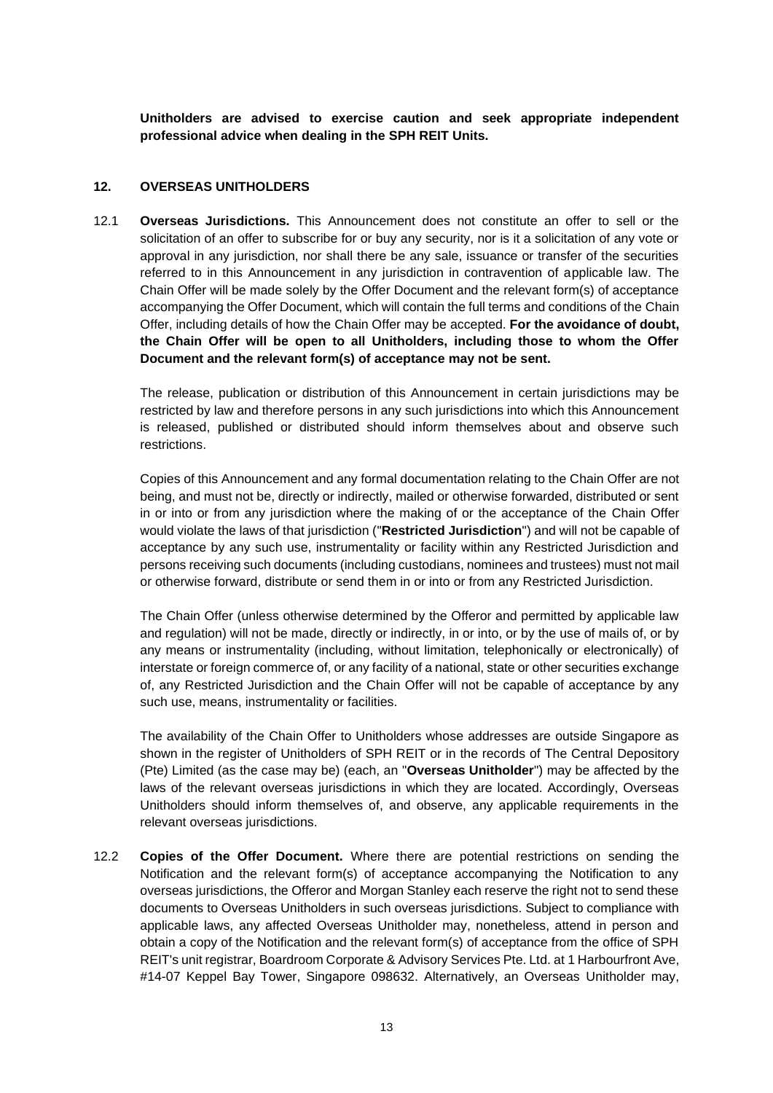**Unitholders are advised to exercise caution and seek appropriate independent professional advice when dealing in the SPH REIT Units.**

#### **12. OVERSEAS UNITHOLDERS**

12.1 **Overseas Jurisdictions.** This Announcement does not constitute an offer to sell or the solicitation of an offer to subscribe for or buy any security, nor is it a solicitation of any vote or approval in any jurisdiction, nor shall there be any sale, issuance or transfer of the securities referred to in this Announcement in any jurisdiction in contravention of applicable law. The Chain Offer will be made solely by the Offer Document and the relevant form(s) of acceptance accompanying the Offer Document, which will contain the full terms and conditions of the Chain Offer, including details of how the Chain Offer may be accepted. **For the avoidance of doubt, the Chain Offer will be open to all Unitholders, including those to whom the Offer Document and the relevant form(s) of acceptance may not be sent.**

The release, publication or distribution of this Announcement in certain jurisdictions may be restricted by law and therefore persons in any such jurisdictions into which this Announcement is released, published or distributed should inform themselves about and observe such restrictions.

Copies of this Announcement and any formal documentation relating to the Chain Offer are not being, and must not be, directly or indirectly, mailed or otherwise forwarded, distributed or sent in or into or from any jurisdiction where the making of or the acceptance of the Chain Offer would violate the laws of that jurisdiction ("**Restricted Jurisdiction**") and will not be capable of acceptance by any such use, instrumentality or facility within any Restricted Jurisdiction and persons receiving such documents (including custodians, nominees and trustees) must not mail or otherwise forward, distribute or send them in or into or from any Restricted Jurisdiction.

The Chain Offer (unless otherwise determined by the Offeror and permitted by applicable law and regulation) will not be made, directly or indirectly, in or into, or by the use of mails of, or by any means or instrumentality (including, without limitation, telephonically or electronically) of interstate or foreign commerce of, or any facility of a national, state or other securities exchange of, any Restricted Jurisdiction and the Chain Offer will not be capable of acceptance by any such use, means, instrumentality or facilities.

The availability of the Chain Offer to Unitholders whose addresses are outside Singapore as shown in the register of Unitholders of SPH REIT or in the records of The Central Depository (Pte) Limited (as the case may be) (each, an "**Overseas Unitholder**") may be affected by the laws of the relevant overseas jurisdictions in which they are located. Accordingly, Overseas Unitholders should inform themselves of, and observe, any applicable requirements in the relevant overseas jurisdictions.

12.2 **Copies of the Offer Document.** Where there are potential restrictions on sending the Notification and the relevant form(s) of acceptance accompanying the Notification to any overseas jurisdictions, the Offeror and Morgan Stanley each reserve the right not to send these documents to Overseas Unitholders in such overseas jurisdictions. Subject to compliance with applicable laws, any affected Overseas Unitholder may, nonetheless, attend in person and obtain a copy of the Notification and the relevant form(s) of acceptance from the office of SPH REIT's unit registrar, Boardroom Corporate & Advisory Services Pte. Ltd. at 1 Harbourfront Ave, #14-07 Keppel Bay Tower, Singapore 098632. Alternatively, an Overseas Unitholder may,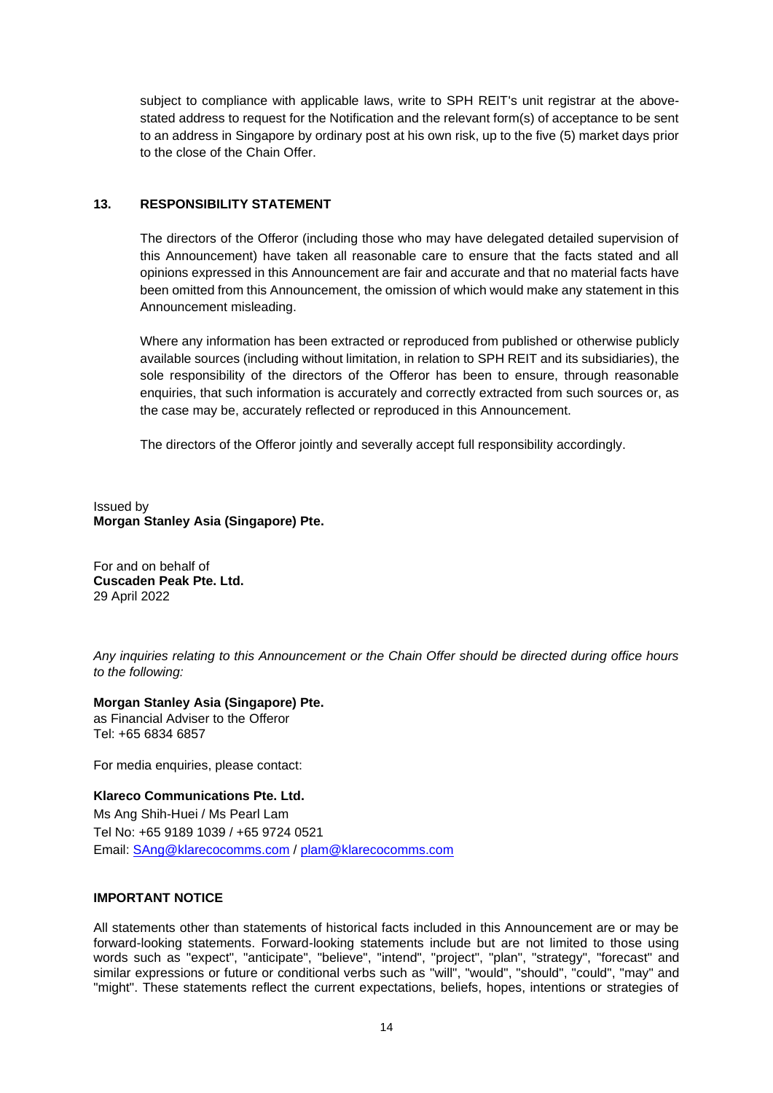subject to compliance with applicable laws, write to SPH REIT's unit registrar at the abovestated address to request for the Notification and the relevant form(s) of acceptance to be sent to an address in Singapore by ordinary post at his own risk, up to the five (5) market days prior to the close of the Chain Offer.

#### **13. RESPONSIBILITY STATEMENT**

The directors of the Offeror (including those who may have delegated detailed supervision of this Announcement) have taken all reasonable care to ensure that the facts stated and all opinions expressed in this Announcement are fair and accurate and that no material facts have been omitted from this Announcement, the omission of which would make any statement in this Announcement misleading.

Where any information has been extracted or reproduced from published or otherwise publicly available sources (including without limitation, in relation to SPH REIT and its subsidiaries), the sole responsibility of the directors of the Offeror has been to ensure, through reasonable enquiries, that such information is accurately and correctly extracted from such sources or, as the case may be, accurately reflected or reproduced in this Announcement.

The directors of the Offeror jointly and severally accept full responsibility accordingly.

Issued by **Morgan Stanley Asia (Singapore) Pte.**

For and on behalf of **Cuscaden Peak Pte. Ltd.** 29 April 2022

*Any inquiries relating to this Announcement or the Chain Offer should be directed during office hours to the following:*

#### **Morgan Stanley Asia (Singapore) Pte.**

as Financial Adviser to the Offeror Tel: +65 6834 6857

For media enquiries, please contact:

**Klareco Communications Pte. Ltd.** Ms Ang Shih-Huei / Ms Pearl Lam Tel No: +65 9189 1039 / +65 9724 0521 Email: [SAng@klarecocomms.com](mailto:SAng@klarecocomms.com) / [plam@klarecocomms.com](mailto:plam@klarecocomms.com)

#### **IMPORTANT NOTICE**

All statements other than statements of historical facts included in this Announcement are or may be forward-looking statements. Forward-looking statements include but are not limited to those using words such as "expect", "anticipate", "believe", "intend", "project", "plan", "strategy", "forecast" and similar expressions or future or conditional verbs such as "will", "would", "should", "could", "may" and "might". These statements reflect the current expectations, beliefs, hopes, intentions or strategies of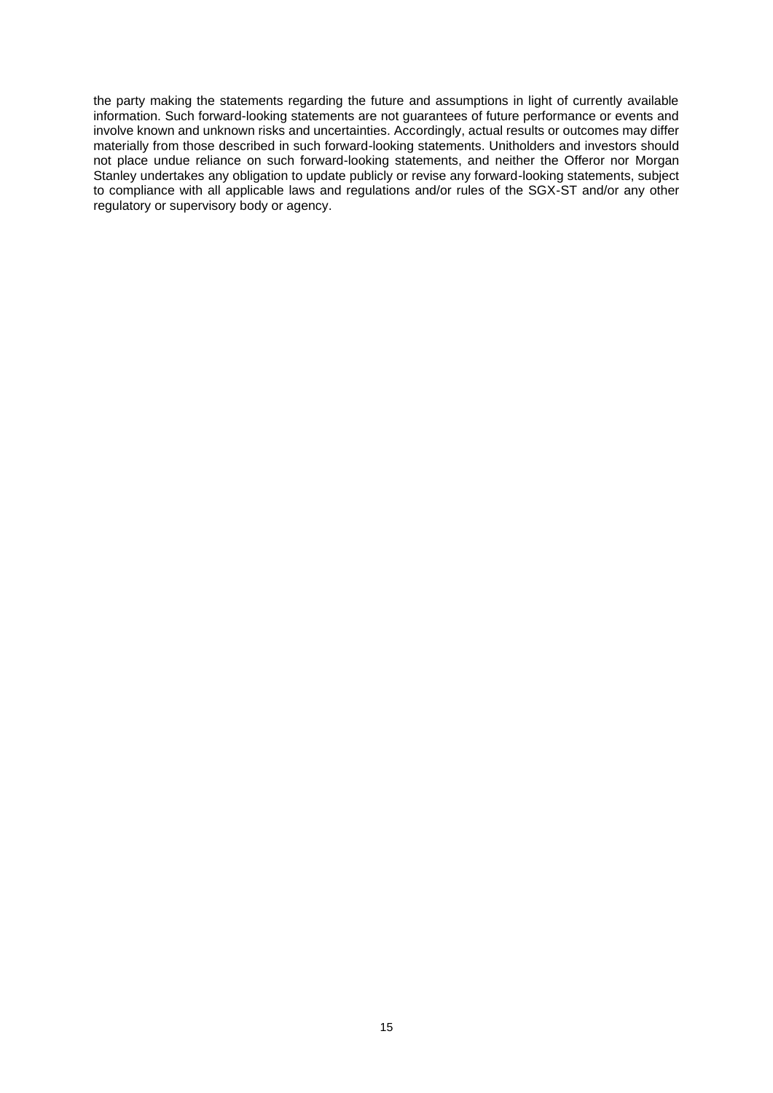the party making the statements regarding the future and assumptions in light of currently available information. Such forward-looking statements are not guarantees of future performance or events and involve known and unknown risks and uncertainties. Accordingly, actual results or outcomes may differ materially from those described in such forward-looking statements. Unitholders and investors should not place undue reliance on such forward-looking statements, and neither the Offeror nor Morgan Stanley undertakes any obligation to update publicly or revise any forward-looking statements, subject to compliance with all applicable laws and regulations and/or rules of the SGX-ST and/or any other regulatory or supervisory body or agency.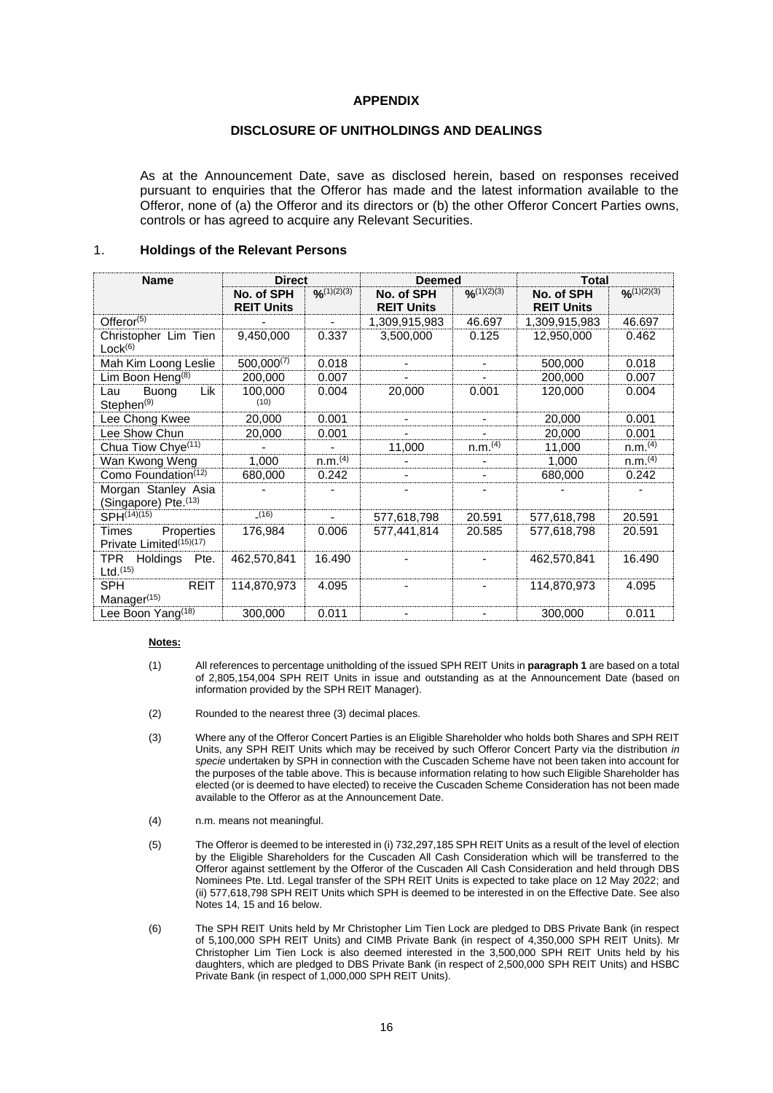#### **APPENDIX**

#### **DISCLOSURE OF UNITHOLDINGS AND DEALINGS**

As at the Announcement Date, save as disclosed herein, based on responses received pursuant to enquiries that the Offeror has made and the latest information available to the Offeror, none of (a) the Offeror and its directors or (b) the other Offeror Concert Parties owns, controls or has agreed to acquire any Relevant Securities.

#### 1. **Holdings of the Relevant Persons**

| <b>Name</b>                                                           | <b>Direct</b>                   |                     | <b>Deemed</b>                   |                     | <b>Total</b>                    |                     |
|-----------------------------------------------------------------------|---------------------------------|---------------------|---------------------------------|---------------------|---------------------------------|---------------------|
|                                                                       | No. of SPH<br><b>REIT Units</b> | $O_{n}(1)(2)(3)$    | No. of SPH<br><b>REIT Units</b> | O(1)(2)(3)          | No. of SPH<br><b>REIT Units</b> | O(1)(2)(3)          |
| Offeror $(5)$                                                         |                                 |                     | 1,309,915,983                   | 46.697              | 1,309,915,983                   | 46.697              |
| Christopher Lim Tien<br>Lock <sup>(6)</sup>                           | 9,450,000                       | 0.337               | 3,500,000                       | 0.125               | 12,950,000                      | 0.462               |
| Mah Kim Loong Leslie                                                  | $500,000^{(7)}$                 | 0.018               |                                 |                     | 500,000                         | 0.018               |
| Lim Boon Heng $(8)$                                                   | 200,000                         | 0.007               |                                 |                     | 200,000                         | 0.007               |
| Buong<br>Lik<br>Lau<br>Stephen <sup>(9)</sup>                         | 100,000<br>(10)                 | 0.004               | 20,000                          | 0.001               | 120,000                         | 0.004               |
| Lee Chong Kwee                                                        | 20,000                          | 0.001               |                                 |                     | 20,000                          | 0.001               |
| Lee Show Chun                                                         | 20,000                          | 0.001               |                                 |                     | 20,000                          | 0.001               |
| Chua Tiow Chye <sup>(11)</sup>                                        |                                 |                     | 11,000                          | n.m. <sup>(4)</sup> | 11.000                          | n.m. <sup>(4)</sup> |
| Wan Kwong Weng                                                        | 1,000                           | n.m. <sup>(4)</sup> |                                 |                     | 1,000                           | n.m. <sup>(4)</sup> |
| Como Foundation <sup>(12)</sup>                                       | 680,000                         | 0.242               |                                 |                     | 680,000                         | 0.242               |
| Morgan Stanley Asia<br>(Singapore) Pte. (13)                          |                                 |                     |                                 |                     |                                 |                     |
| SPH(14)(15)                                                           | (16)                            | ٠                   | 577,618,798                     | 20.591              | 577,618,798                     | 20.591              |
| Properties<br>Times<br>Private Limited <sup>(15)(17)</sup>            | 176,984                         | 0.006               | 577,441,814                     | 20.585              | 577,618,798                     | 20.591              |
| <b>TPR</b><br>Holdings<br>Pte.<br>$Ltd.$ <sup><math>(15)</math></sup> | 462,570,841                     | 16.490              |                                 |                     | 462,570,841                     | 16.490              |
| <b>SPH</b><br><b>REIT</b><br>Manager <sup>(15)</sup>                  | 114,870,973                     | 4.095               |                                 |                     | 114,870,973                     | 4.095               |
| Lee Boon Yang <sup>(18)</sup>                                         | 300,000                         | 0.011               |                                 |                     | 300,000                         | 0.011               |

#### **Notes:**

- (1) All references to percentage unitholding of the issued SPH REIT Units in **paragraph 1** are based on a total of 2,805,154,004 SPH REIT Units in issue and outstanding as at the Announcement Date (based on information provided by the SPH REIT Manager).
- (2) Rounded to the nearest three (3) decimal places.
- (3) Where any of the Offeror Concert Parties is an Eligible Shareholder who holds both Shares and SPH REIT Units, any SPH REIT Units which may be received by such Offeror Concert Party via the distribution *in specie* undertaken by SPH in connection with the Cuscaden Scheme have not been taken into account for the purposes of the table above. This is because information relating to how such Eligible Shareholder has elected (or is deemed to have elected) to receive the Cuscaden Scheme Consideration has not been made available to the Offeror as at the Announcement Date.
- (4) n.m. means not meaningful.
- (5) The Offeror is deemed to be interested in (i) 732,297,185 SPH REIT Units as a result of the level of election by the Eligible Shareholders for the Cuscaden All Cash Consideration which will be transferred to the Offeror against settlement by the Offeror of the Cuscaden All Cash Consideration and held through DBS Nominees Pte. Ltd. Legal transfer of the SPH REIT Units is expected to take place on 12 May 2022; and (ii) 577,618,798 SPH REIT Units which SPH is deemed to be interested in on the Effective Date. See also Notes 14, 15 and 16 below.
- (6) The SPH REIT Units held by Mr Christopher Lim Tien Lock are pledged to DBS Private Bank (in respect of 5,100,000 SPH REIT Units) and CIMB Private Bank (in respect of 4,350,000 SPH REIT Units). Mr Christopher Lim Tien Lock is also deemed interested in the 3,500,000 SPH REIT Units held by his daughters, which are pledged to DBS Private Bank (in respect of 2,500,000 SPH REIT Units) and HSBC Private Bank (in respect of 1,000,000 SPH REIT Units).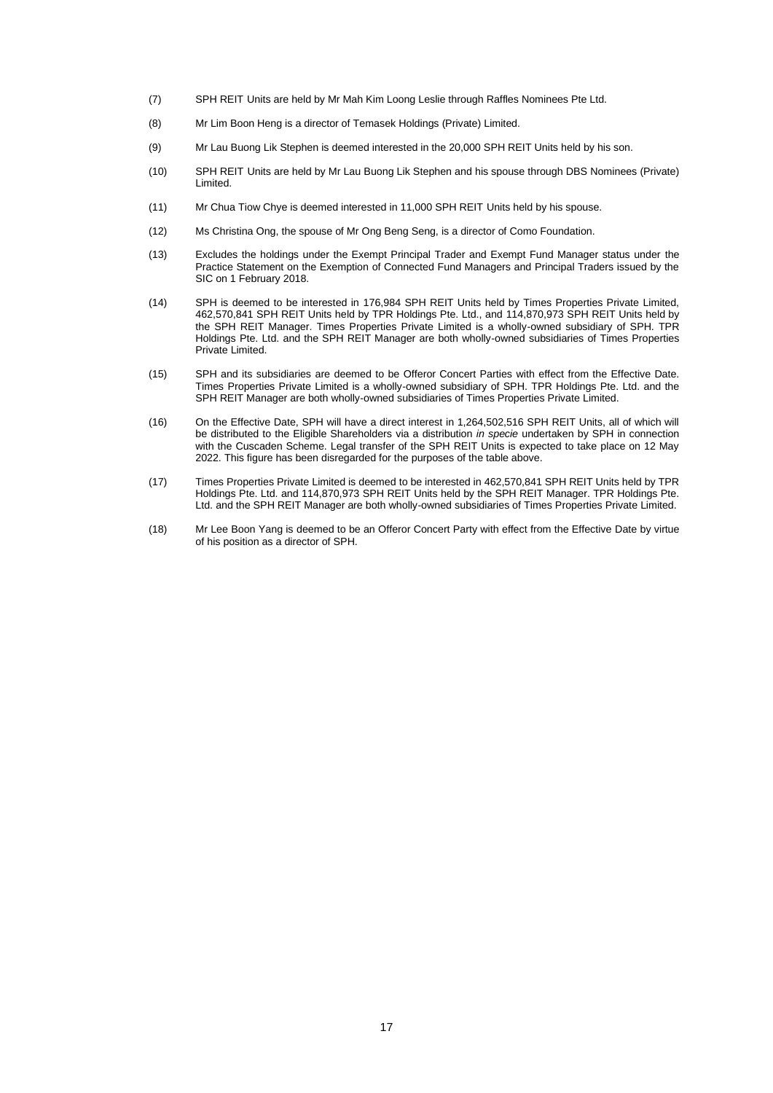- (7) SPH REIT Units are held by Mr Mah Kim Loong Leslie through Raffles Nominees Pte Ltd.
- (8) Mr Lim Boon Heng is a director of Temasek Holdings (Private) Limited.
- (9) Mr Lau Buong Lik Stephen is deemed interested in the 20,000 SPH REIT Units held by his son.
- (10) SPH REIT Units are held by Mr Lau Buong Lik Stephen and his spouse through DBS Nominees (Private) Limited.
- (11) Mr Chua Tiow Chye is deemed interested in 11,000 SPH REIT Units held by his spouse.
- (12) Ms Christina Ong, the spouse of Mr Ong Beng Seng, is a director of Como Foundation.
- (13) Excludes the holdings under the Exempt Principal Trader and Exempt Fund Manager status under the Practice Statement on the Exemption of Connected Fund Managers and Principal Traders issued by the SIC on 1 February 2018.
- (14) SPH is deemed to be interested in 176,984 SPH REIT Units held by Times Properties Private Limited, 462,570,841 SPH REIT Units held by TPR Holdings Pte. Ltd., and 114,870,973 SPH REIT Units held by the SPH REIT Manager. Times Properties Private Limited is a wholly-owned subsidiary of SPH. TPR Holdings Pte. Ltd. and the SPH REIT Manager are both wholly-owned subsidiaries of Times Properties Private Limited.
- (15) SPH and its subsidiaries are deemed to be Offeror Concert Parties with effect from the Effective Date. Times Properties Private Limited is a wholly-owned subsidiary of SPH. TPR Holdings Pte. Ltd. and the SPH REIT Manager are both wholly-owned subsidiaries of Times Properties Private Limited.
- (16) On the Effective Date, SPH will have a direct interest in 1,264,502,516 SPH REIT Units, all of which will be distributed to the Eligible Shareholders via a distribution *in specie* undertaken by SPH in connection with the Cuscaden Scheme. Legal transfer of the SPH REIT Units is expected to take place on 12 May 2022. This figure has been disregarded for the purposes of the table above.
- (17) Times Properties Private Limited is deemed to be interested in 462,570,841 SPH REIT Units held by TPR Holdings Pte. Ltd. and 114,870,973 SPH REIT Units held by the SPH REIT Manager. TPR Holdings Pte. Ltd. and the SPH REIT Manager are both wholly-owned subsidiaries of Times Properties Private Limited.
- (18) Mr Lee Boon Yang is deemed to be an Offeror Concert Party with effect from the Effective Date by virtue of his position as a director of SPH.